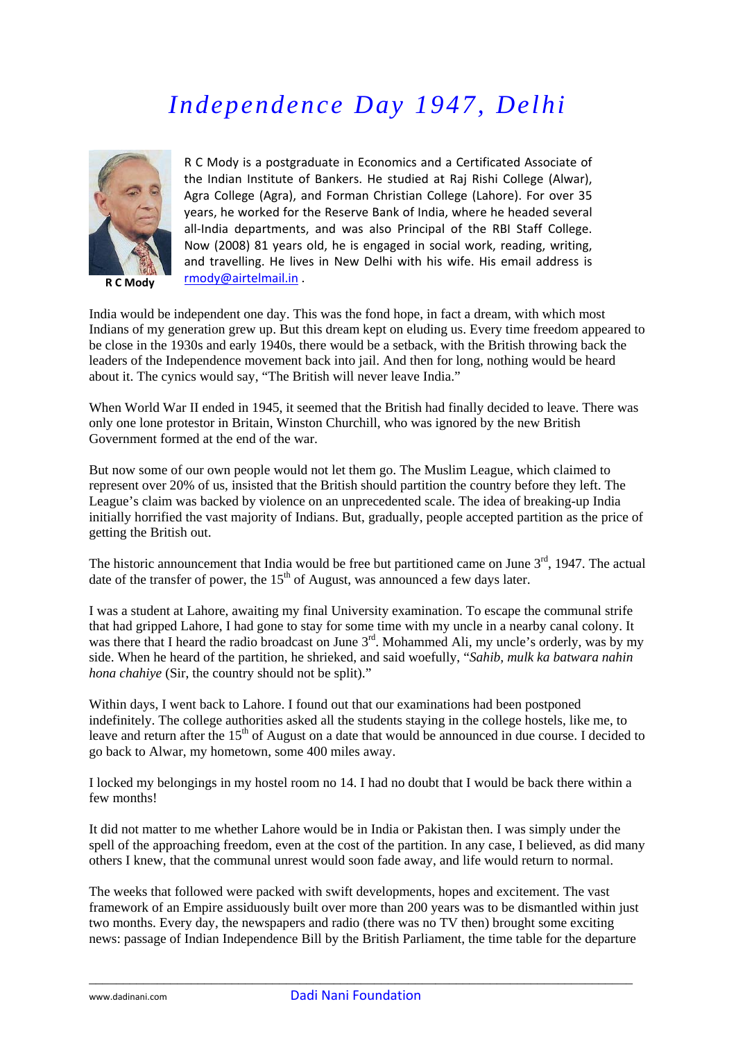## *Independence Day 1947, Delhi*



**R C Mody**

R C Mody is a postgraduate in Economics and a Certificated Associate of the Indian Institute of Bankers. He studied at Raj Rishi College (Alwar), Agra College (Agra), and Forman Christian College (Lahore). For over 35 years, he worked for the Reserve Bank of India, where he headed several all-India departments, and was also Principal of the RBI Staff College. Now (2008) 81 years old, he is engaged in social work, reading, writing, and travelling. He lives in New Delhi with his wife. His email address is [rmody@airtelmail.in](mailto:rmody@airtelmail.in) .

India would be independent one day. This was the fond hope, in fact a dream, with which most Indians of my generation grew up. But this dream kept on eluding us. Every time freedom appeared to be close in the 1930s and early 1940s, there would be a setback, with the British throwing back the leaders of the Independence movement back into jail. And then for long, nothing would be heard about it. The cynics would say, "The British will never leave India."

When World War II ended in 1945, it seemed that the British had finally decided to leave. There was only one lone protestor in Britain, Winston Churchill, who was ignored by the new British Government formed at the end of the war.

But now some of our own people would not let them go. The Muslim League, which claimed to represent over 20% of us, insisted that the British should partition the country before they left. The League's claim was backed by violence on an unprecedented scale. The idea of breaking-up India initially horrified the vast majority of Indians. But, gradually, people accepted partition as the price of getting the British out.

The historic announcement that India would be free but partitioned came on June  $3<sup>rd</sup>$ , 1947. The actual date of the transfer of power, the  $15<sup>th</sup>$  of August, was announced a few days later.

I was a student at Lahore, awaiting my final University examination. To escape the communal strife that had gripped Lahore, I had gone to stay for some time with my uncle in a nearby canal colony. It was there that I heard the radio broadcast on June 3<sup>rd</sup>. Mohammed Ali, my uncle's orderly, was by my side. When he heard of the partition, he shrieked, and said woefully, "*Sahib, mulk ka batwara nahin hona chahiye* (Sir, the country should not be split)."

Within days. I went back to Lahore. I found out that our examinations had been postponed indefinitely. The college authorities asked all the students staying in the college hostels, like me, to leave and return after the 15<sup>th</sup> of August on a date that would be announced in due course. I decided to go back to Alwar, my hometown, some 400 miles away.

I locked my belongings in my hostel room no 14. I had no doubt that I would be back there within a few months!

It did not matter to me whether Lahore would be in India or Pakistan then. I was simply under the spell of the approaching freedom, even at the cost of the partition. In any case, I believed, as did many others I knew, that the communal unrest would soon fade away, and life would return to normal.

The weeks that followed were packed with swift developments, hopes and excitement. The vast framework of an Empire assiduously built over more than 200 years was to be dismantled within just two months. Every day, the newspapers and radio (there was no TV then) brought some exciting news: passage of Indian Independence Bill by the British Parliament, the time table for the departure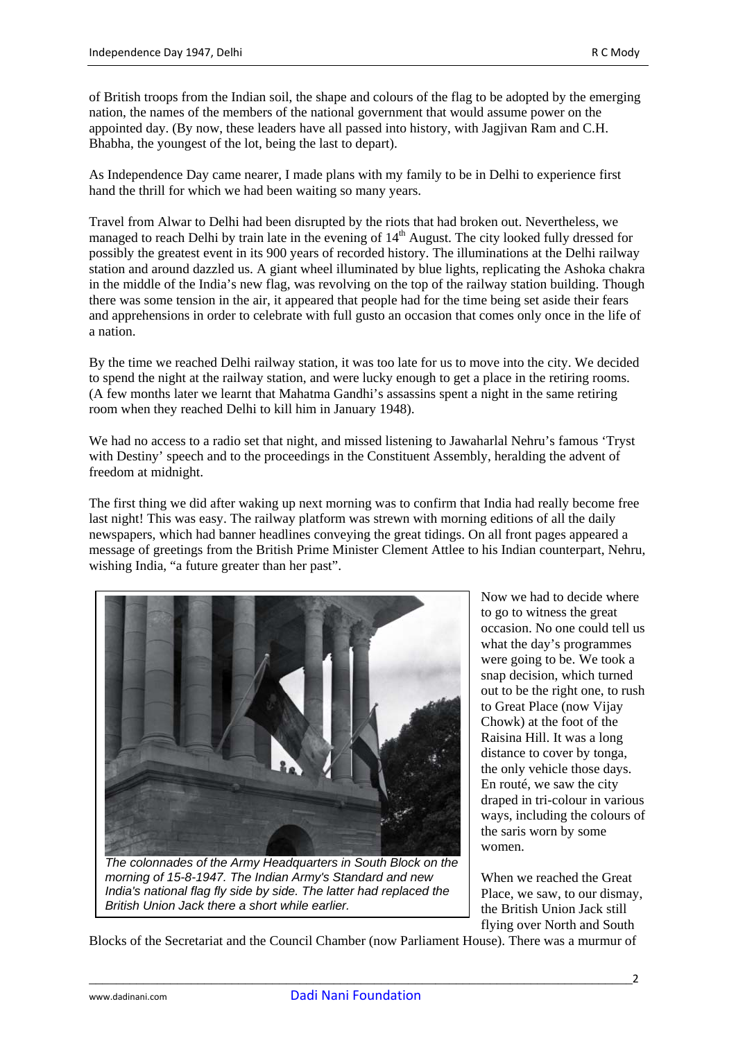of British troops from the Indian soil, the shape and colours of the flag to be adopted by the emerging nation, the names of the members of the national government that would assume power on the appointed day. (By now, these leaders have all passed into history, with Jagjivan Ram and C.H. Bhabha, the youngest of the lot, being the last to depart).

As Independence Day came nearer, I made plans with my family to be in Delhi to experience first hand the thrill for which we had been waiting so many years.

Travel from Alwar to Delhi had been disrupted by the riots that had broken out. Nevertheless, we managed to reach Delhi by train late in the evening of 14<sup>th</sup> August. The city looked fully dressed for possibly the greatest event in its 900 years of recorded history. The illuminations at the Delhi railway station and around dazzled us. A giant wheel illuminated by blue lights, replicating the Ashoka chakra in the middle of the India's new flag, was revolving on the top of the railway station building. Though there was some tension in the air, it appeared that people had for the time being set aside their fears and apprehensions in order to celebrate with full gusto an occasion that comes only once in the life of a nation.

By the time we reached Delhi railway station, it was too late for us to move into the city. We decided to spend the night at the railway station, and were lucky enough to get a place in the retiring rooms. (A few months later we learnt that Mahatma Gandhi's assassins spent a night in the same retiring room when they reached Delhi to kill him in January 1948).

We had no access to a radio set that night, and missed listening to Jawaharlal Nehru's famous 'Tryst with Destiny' speech and to the proceedings in the Constituent Assembly, heralding the advent of freedom at midnight.

The first thing we did after waking up next morning was to confirm that India had really become free last night! This was easy. The railway platform was strewn with morning editions of all the daily newspapers, which had banner headlines conveying the great tidings. On all front pages appeared a message of greetings from the British Prime Minister Clement Attlee to his Indian counterpart, Nehru, wishing India, "a future greater than her past".



*morning of 15-8-1947. The Indian Army's Standard and new India's national flag fly side by side. The latter had replaced the British Union Jack there a short while earlier.*

Now we had to decide where to go to witness the great occasion. No one could tell us what the day's programmes were going to be. We took a snap decision, which turned out to be the right one, to rush to Great Place (now Vijay Chowk) at the foot of the Raisina Hill. It was a long distance to cover by tonga, the only vehicle those days. En routé, we saw the city draped in tri-colour in various ways, including the colours of the saris worn by some women.

When we reached the Great Place, we saw, to our dismay, the British Union Jack still flying over North and South

Blocks of the Secretariat and the Council Chamber (now Parliament House). There was a murmur of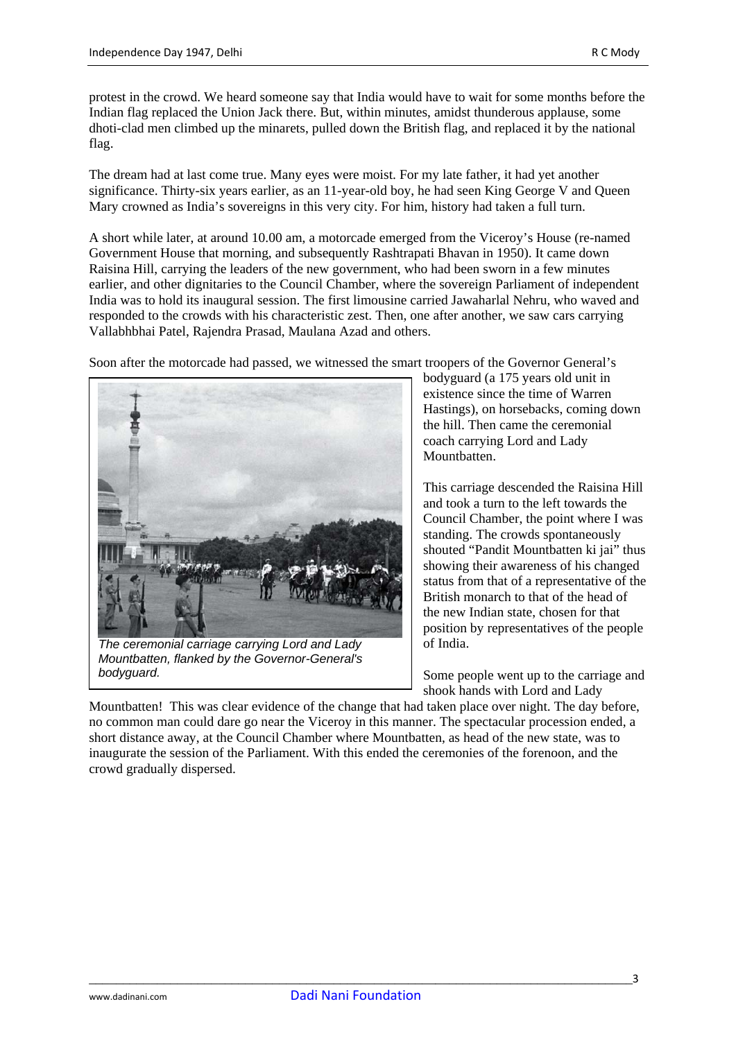protest in the crowd. We heard someone say that India would have to wait for some months before the Indian flag replaced the Union Jack there. But, within minutes, amidst thunderous applause, some dhoti-clad men climbed up the minarets, pulled down the British flag, and replaced it by the national flag.

The dream had at last come true. Many eyes were moist. For my late father, it had yet another significance. Thirty-six years earlier, as an 11-year-old boy, he had seen King George V and Queen Mary crowned as India's sovereigns in this very city. For him, history had taken a full turn.

A short while later, at around 10.00 am, a motorcade emerged from the Viceroy's House (re-named Government House that morning, and subsequently Rashtrapati Bhavan in 1950). It came down Raisina Hill, carrying the leaders of the new government, who had been sworn in a few minutes earlier, and other dignitaries to the Council Chamber, where the sovereign Parliament of independent India was to hold its inaugural session. The first limousine carried Jawaharlal Nehru, who waved and responded to the crowds with his characteristic zest. Then, one after another, we saw cars carrying Vallabhbhai Patel, Rajendra Prasad, Maulana Azad and others.

Soon after the motorcade had passed, we witnessed the smart troopers of the Governor General's



*The ceremonial carriage carrying Lord and Lady Mountbatten, flanked by the Governor-General's bodyguard.* 

bodyguard (a 175 years old unit in existence since the time of Warren Hastings), on horsebacks, coming down the hill. Then came the ceremonial coach carrying Lord and Lady Mountbatten.

This carriage descended the Raisina Hill and took a turn to the left towards the Council Chamber, the point where I was standing. The crowds spontaneously shouted "Pandit Mountbatten ki jai" thus showing their awareness of his changed status from that of a representative of the British monarch to that of the head of the new Indian state, chosen for that position by representatives of the people of India.

Some people went up to the carriage and shook hands with Lord and Lady

Mountbatten! This was clear evidence of the change that had taken place over night. The day before, no common man could dare go near the Viceroy in this manner. The spectacular procession ended, a short distance away, at the Council Chamber where Mountbatten, as head of the new state, was to inaugurate the session of the Parliament. With this ended the ceremonies of the forenoon, and the crowd gradually dispersed.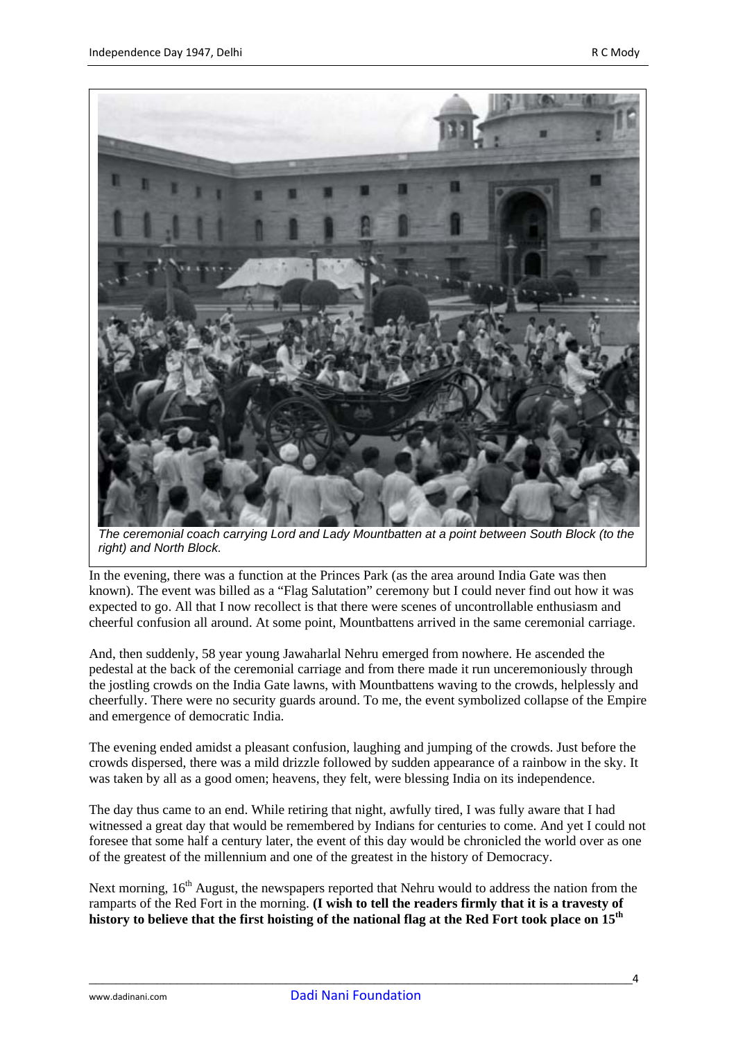

*The ceremonial coach carrying Lord and Lady Mountbatten at a point between South Block (to the right) and North Block.* 

In the evening, there was a function at the Princes Park (as the area around India Gate was then known). The event was billed as a "Flag Salutation" ceremony but I could never find out how it was expected to go. All that I now recollect is that there were scenes of uncontrollable enthusiasm and cheerful confusion all around. At some point, Mountbattens arrived in the same ceremonial carriage.

And, then suddenly, 58 year young Jawaharlal Nehru emerged from nowhere. He ascended the pedestal at the back of the ceremonial carriage and from there made it run unceremoniously through the jostling crowds on the India Gate lawns, with Mountbattens waving to the crowds, helplessly and cheerfully. There were no security guards around. To me, the event symbolized collapse of the Empire and emergence of democratic India.

The evening ended amidst a pleasant confusion, laughing and jumping of the crowds. Just before the crowds dispersed, there was a mild drizzle followed by sudden appearance of a rainbow in the sky. It was taken by all as a good omen; heavens, they felt, were blessing India on its independence.

The day thus came to an end. While retiring that night, awfully tired, I was fully aware that I had witnessed a great day that would be remembered by Indians for centuries to come. And yet I could not foresee that some half a century later, the event of this day would be chronicled the world over as one of the greatest of the millennium and one of the greatest in the history of Democracy.

Next morning,  $16<sup>th</sup>$  August, the newspapers reported that Nehru would to address the nation from the ramparts of the Red Fort in the morning. **(I wish to tell the readers firmly that it is a travesty of history to believe that the first hoisting of the national flag at the Red Fort took place on 15th**

\_\_\_\_\_\_\_\_\_\_\_\_\_\_\_\_\_\_\_\_\_\_\_\_\_\_\_\_\_\_\_\_\_\_\_\_\_\_\_\_\_\_\_\_\_\_\_\_\_\_\_\_\_\_\_\_\_\_\_\_\_\_\_\_\_\_\_\_\_\_\_\_\_\_\_\_\_\_\_\_4